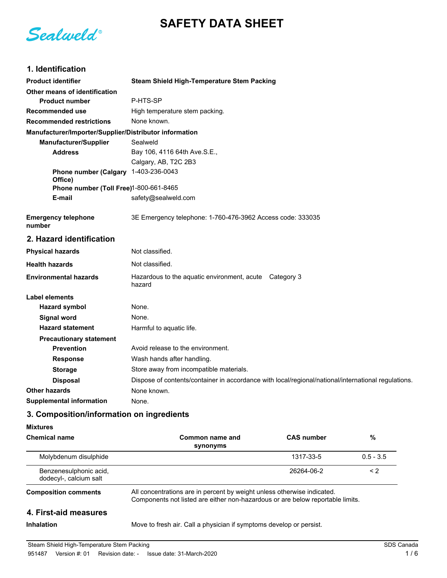# **SAFETY DATA SHEET**

Sealweld®

## **1. Identification**

| <b>Product identifier</b>                              | <b>Steam Shield High-Temperature Stem Packing</b>                                                   |  |  |
|--------------------------------------------------------|-----------------------------------------------------------------------------------------------------|--|--|
| Other means of identification                          |                                                                                                     |  |  |
| <b>Product number</b>                                  | P-HTS-SP                                                                                            |  |  |
| Recommended use                                        | High temperature stem packing.                                                                      |  |  |
| <b>Recommended restrictions</b>                        | None known.                                                                                         |  |  |
| Manufacturer/Importer/Supplier/Distributor information |                                                                                                     |  |  |
| <b>Manufacturer/Supplier</b>                           | Sealweld                                                                                            |  |  |
| <b>Address</b>                                         | Bay 106, 4116 64th Ave.S.E.,                                                                        |  |  |
|                                                        | Calgary, AB, T2C 2B3                                                                                |  |  |
| Phone number (Calgary 1-403-236-0043<br>Office)        |                                                                                                     |  |  |
| Phone number (Toll Free)1-800-661-8465                 |                                                                                                     |  |  |
| E-mail                                                 | safety@sealweld.com                                                                                 |  |  |
| <b>Emergency telephone</b><br>number                   | 3E Emergency telephone: 1-760-476-3962 Access code: 333035                                          |  |  |
| 2. Hazard identification                               |                                                                                                     |  |  |
| <b>Physical hazards</b>                                | Not classified.                                                                                     |  |  |
| <b>Health hazards</b>                                  | Not classified.                                                                                     |  |  |
| <b>Environmental hazards</b>                           | Hazardous to the aquatic environment, acute Category 3<br>hazard                                    |  |  |
| Label elements                                         |                                                                                                     |  |  |
| <b>Hazard symbol</b>                                   | None.                                                                                               |  |  |
| <b>Signal word</b>                                     | None.                                                                                               |  |  |
| <b>Hazard statement</b>                                | Harmful to aquatic life.                                                                            |  |  |
| <b>Precautionary statement</b>                         |                                                                                                     |  |  |
| <b>Prevention</b>                                      | Avoid release to the environment.                                                                   |  |  |
| <b>Response</b>                                        | Wash hands after handling.                                                                          |  |  |
| <b>Storage</b>                                         | Store away from incompatible materials.                                                             |  |  |
| <b>Disposal</b>                                        | Dispose of contents/container in accordance with local/regional/national/international regulations. |  |  |
| <b>Other hazards</b>                                   | None known.                                                                                         |  |  |
| <b>Supplemental information</b>                        | None.                                                                                               |  |  |
|                                                        |                                                                                                     |  |  |

## **3. Composition/information on ingredients**

#### **Mixtures**

| <b>Chemical name</b>                             | Common name and<br>synonyms                                                                                                                               | <b>CAS number</b> | %           |
|--------------------------------------------------|-----------------------------------------------------------------------------------------------------------------------------------------------------------|-------------------|-------------|
| Molybdenum disulphide                            |                                                                                                                                                           | 1317-33-5         | $0.5 - 3.5$ |
| Benzenesulphonic acid,<br>dodecyl-, calcium salt |                                                                                                                                                           | 26264-06-2        | $\leq$ 2    |
| <b>Composition comments</b>                      | All concentrations are in percent by weight unless otherwise indicated.<br>Components not listed are either non-hazardous or are below reportable limits. |                   |             |
| 4. First-aid measures                            |                                                                                                                                                           |                   |             |
| <b>Inhalation</b>                                | Move to fresh air. Call a physician if symptoms develop or persist.                                                                                       |                   |             |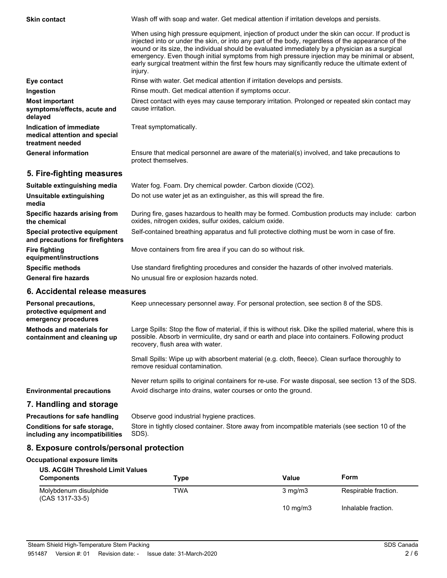| <b>Skin contact</b>                                                          | Wash off with soap and water. Get medical attention if irritation develops and persists.                                                                                                                                                                                                                                                                                                                                                                                                                                     |  |  |
|------------------------------------------------------------------------------|------------------------------------------------------------------------------------------------------------------------------------------------------------------------------------------------------------------------------------------------------------------------------------------------------------------------------------------------------------------------------------------------------------------------------------------------------------------------------------------------------------------------------|--|--|
|                                                                              | When using high pressure equipment, injection of product under the skin can occur. If product is<br>injected into or under the skin, or into any part of the body, regardless of the appearance of the<br>wound or its size, the individual should be evaluated immediately by a physician as a surgical<br>emergency. Even though initial symptoms from high pressure injection may be minimal or absent,<br>early surgical treatment within the first few hours may significantly reduce the ultimate extent of<br>injury. |  |  |
| Eye contact                                                                  | Rinse with water. Get medical attention if irritation develops and persists.                                                                                                                                                                                                                                                                                                                                                                                                                                                 |  |  |
| Ingestion                                                                    | Rinse mouth. Get medical attention if symptoms occur.                                                                                                                                                                                                                                                                                                                                                                                                                                                                        |  |  |
| <b>Most important</b><br>symptoms/effects, acute and<br>delayed              | Direct contact with eyes may cause temporary irritation. Prolonged or repeated skin contact may<br>cause irritation.                                                                                                                                                                                                                                                                                                                                                                                                         |  |  |
| Indication of immediate<br>medical attention and special<br>treatment needed | Treat symptomatically.                                                                                                                                                                                                                                                                                                                                                                                                                                                                                                       |  |  |
| <b>General information</b>                                                   | Ensure that medical personnel are aware of the material(s) involved, and take precautions to<br>protect themselves.                                                                                                                                                                                                                                                                                                                                                                                                          |  |  |
| 5. Fire-fighting measures                                                    |                                                                                                                                                                                                                                                                                                                                                                                                                                                                                                                              |  |  |
| Suitable extinguishing media                                                 | Water fog. Foam. Dry chemical powder. Carbon dioxide (CO2).                                                                                                                                                                                                                                                                                                                                                                                                                                                                  |  |  |

| Suitable extinguishing media                                     | Water Tog. Foam. Dry chemical powder. Carbon dioxide (COZ).                                                                                             |
|------------------------------------------------------------------|---------------------------------------------------------------------------------------------------------------------------------------------------------|
| Unsuitable extinguishing<br>media                                | Do not use water jet as an extinguisher, as this will spread the fire.                                                                                  |
| Specific hazards arising from<br>the chemical                    | During fire, gases hazardous to health may be formed. Combustion products may include: carbon<br>oxides, nitrogen oxides, sulfur oxides, calcium oxide. |
| Special protective equipment<br>and precautions for firefighters | Self-contained breathing apparatus and full protective clothing must be worn in case of fire.                                                           |
| <b>Fire fighting</b><br>equipment/instructions                   | Move containers from fire area if you can do so without risk.                                                                                           |
| <b>Specific methods</b>                                          | Use standard firefighting procedures and consider the hazards of other involved materials.                                                              |
| <b>General fire hazards</b>                                      | No unusual fire or explosion hazards noted.                                                                                                             |
|                                                                  |                                                                                                                                                         |

#### **6. Accidental release measures**

| Personal precautions,<br>protective equipment and<br>emergency procedures | Keep unnecessary personnel away. For personal protection, see section 8 of the SDS.                                                                                                                                                               |
|---------------------------------------------------------------------------|---------------------------------------------------------------------------------------------------------------------------------------------------------------------------------------------------------------------------------------------------|
| <b>Methods and materials for</b><br>containment and cleaning up           | Large Spills: Stop the flow of material, if this is without risk. Dike the spilled material, where this is<br>possible. Absorb in vermiculite, dry sand or earth and place into containers. Following product<br>recovery, flush area with water. |
|                                                                           | Small Spills: Wipe up with absorbent material (e.g. cloth, fleece). Clean surface thoroughly to<br>remove residual contamination.                                                                                                                 |
| <b>Environmental precautions</b>                                          | Never return spills to original containers for re-use. For waste disposal, see section 13 of the SDS.<br>Avoid discharge into drains, water courses or onto the ground.                                                                           |
| 7. Handling and storage                                                   |                                                                                                                                                                                                                                                   |
| <b>Precautions for safe handling</b><br>Conditions for safe storage,      | Observe good industrial hygiene practices.<br>Store in tightly closed container. Store away from incompatible materials (see section 10 of the                                                                                                    |

**including any incompatibilities**

SDS).

## **8. Exposure controls/personal protection**

## **Occupational exposure limits**

| <b>US. ACGIH Threshold Limit Values</b><br><b>Components</b> | Type       | Value            | Form                 |
|--------------------------------------------------------------|------------|------------------|----------------------|
| Molybdenum disulphide<br>(CAS 1317-33-5)                     | <b>TWA</b> | $3 \text{ mg/m}$ | Respirable fraction. |
|                                                              |            | 10 $mq/m3$       | Inhalable fraction.  |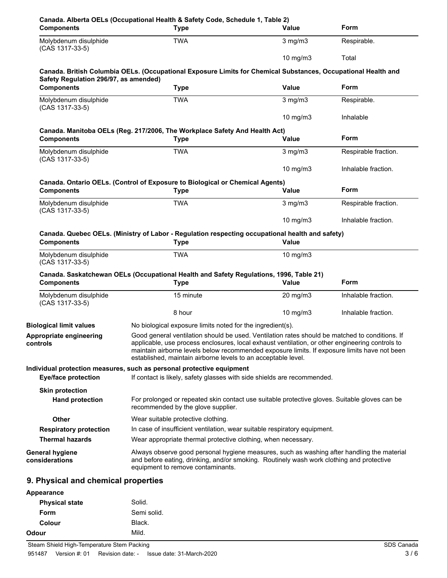| <b>Components</b>                        | Canada. Alberta OELs (Occupational Health & Safety Code, Schedule 1, Table 2)<br><b>Type</b>                                                                                                                                                                                                                                                                       | Value               | Form                 |
|------------------------------------------|--------------------------------------------------------------------------------------------------------------------------------------------------------------------------------------------------------------------------------------------------------------------------------------------------------------------------------------------------------------------|---------------------|----------------------|
| Molybdenum disulphide<br>(CAS 1317-33-5) | <b>TWA</b>                                                                                                                                                                                                                                                                                                                                                         | $3$ mg/m $3$        | Respirable.          |
|                                          |                                                                                                                                                                                                                                                                                                                                                                    | 10 mg/m3            | Total                |
| Safety Regulation 296/97, as amended)    | Canada. British Columbia OELs. (Occupational Exposure Limits for Chemical Substances, Occupational Health and                                                                                                                                                                                                                                                      |                     |                      |
| <b>Components</b>                        | <b>Type</b>                                                                                                                                                                                                                                                                                                                                                        | <b>Value</b>        | Form                 |
| Molybdenum disulphide<br>(CAS 1317-33-5) | <b>TWA</b>                                                                                                                                                                                                                                                                                                                                                         | $3$ mg/m $3$        | Respirable.          |
|                                          |                                                                                                                                                                                                                                                                                                                                                                    | 10 mg/m3            | Inhalable            |
|                                          | Canada. Manitoba OELs (Reg. 217/2006, The Workplace Safety And Health Act)                                                                                                                                                                                                                                                                                         |                     |                      |
| <b>Components</b>                        | <b>Type</b>                                                                                                                                                                                                                                                                                                                                                        | Value               | Form                 |
| Molybdenum disulphide<br>(CAS 1317-33-5) | <b>TWA</b>                                                                                                                                                                                                                                                                                                                                                         | $3$ mg/m $3$        | Respirable fraction. |
|                                          |                                                                                                                                                                                                                                                                                                                                                                    | $10$ mg/m $3$       | Inhalable fraction.  |
|                                          | Canada. Ontario OELs. (Control of Exposure to Biological or Chemical Agents)                                                                                                                                                                                                                                                                                       |                     |                      |
| <b>Components</b>                        | <b>Type</b>                                                                                                                                                                                                                                                                                                                                                        | Value               | Form                 |
| Molybdenum disulphide<br>(CAS 1317-33-5) | <b>TWA</b>                                                                                                                                                                                                                                                                                                                                                         | $3$ mg/m $3$        | Respirable fraction. |
|                                          |                                                                                                                                                                                                                                                                                                                                                                    | 10 $mg/m3$          | Inhalable fraction.  |
|                                          | Canada. Quebec OELs. (Ministry of Labor - Regulation respecting occupational health and safety)                                                                                                                                                                                                                                                                    |                     |                      |
| <b>Components</b>                        | <b>Type</b>                                                                                                                                                                                                                                                                                                                                                        | Value               |                      |
| Molybdenum disulphide<br>(CAS 1317-33-5) | <b>TWA</b>                                                                                                                                                                                                                                                                                                                                                         | 10 mg/m3            |                      |
| <b>Components</b>                        | Canada. Saskatchewan OELs (Occupational Health and Safety Regulations, 1996, Table 21)<br><b>Type</b>                                                                                                                                                                                                                                                              | <b>Value</b>        | Form                 |
| Molybdenum disulphide<br>(CAS 1317-33-5) | 15 minute                                                                                                                                                                                                                                                                                                                                                          | $20 \text{ mg/m}$ 3 | Inhalable fraction.  |
|                                          | 8 hour                                                                                                                                                                                                                                                                                                                                                             | $10$ mg/m $3$       | Inhalable fraction.  |
| <b>Biological limit values</b>           | No biological exposure limits noted for the ingredient(s).                                                                                                                                                                                                                                                                                                         |                     |                      |
| Appropriate engineering<br>controis      | Good general ventilation should be used. Ventilation rates should be matched to conditions. If<br>applicable, use process enclosures, local exhaust ventilation, or other engineering controls to<br>maintain airborne levels below recommended exposure limits. If exposure limits have not been<br>established, maintain airborne levels to an acceptable level. |                     |                      |
| <b>Eye/face protection</b>               | Individual protection measures, such as personal protective equipment<br>If contact is likely, safety glasses with side shields are recommended.                                                                                                                                                                                                                   |                     |                      |
| <b>Skin protection</b>                   |                                                                                                                                                                                                                                                                                                                                                                    |                     |                      |
| <b>Hand protection</b>                   | For prolonged or repeated skin contact use suitable protective gloves. Suitable gloves can be<br>recommended by the glove supplier.                                                                                                                                                                                                                                |                     |                      |
| <b>Other</b>                             | Wear suitable protective clothing.                                                                                                                                                                                                                                                                                                                                 |                     |                      |
| <b>Respiratory protection</b>            | In case of insufficient ventilation, wear suitable respiratory equipment.                                                                                                                                                                                                                                                                                          |                     |                      |
| <b>Thermal hazards</b>                   | Wear appropriate thermal protective clothing, when necessary.                                                                                                                                                                                                                                                                                                      |                     |                      |
| <b>General hygiene</b><br>considerations | Always observe good personal hygiene measures, such as washing after handling the material<br>and before eating, drinking, and/or smoking. Routinely wash work clothing and protective<br>equipment to remove contaminants.                                                                                                                                        |                     |                      |
| 9. Physical and chemical properties      |                                                                                                                                                                                                                                                                                                                                                                    |                     |                      |

| Appearance            |             |
|-----------------------|-------------|
| <b>Physical state</b> | Solid.      |
| Form                  | Semi solid. |
| Colour                | Black.      |
| Odour                 | Mild.       |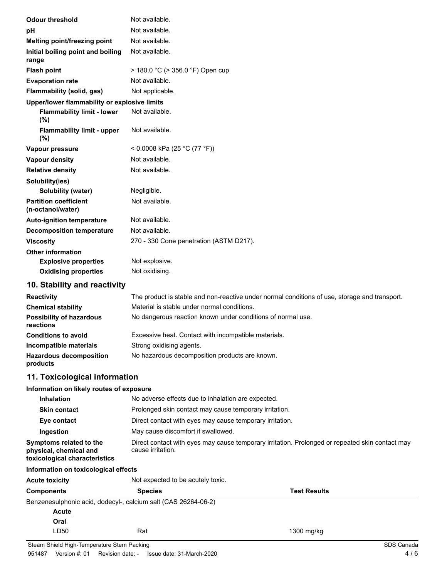| <b>Odour threshold</b>                            | Not available.                                                                                |
|---------------------------------------------------|-----------------------------------------------------------------------------------------------|
| pH                                                | Not available.                                                                                |
| Melting point/freezing point                      | Not available.                                                                                |
| Initial boiling point and boiling<br>range        | Not available.                                                                                |
| <b>Flash point</b>                                | $>$ 180.0 °C ( $>$ 356.0 °F) Open cup                                                         |
| <b>Evaporation rate</b>                           | Not available.                                                                                |
| Flammability (solid, gas)                         | Not applicable.                                                                               |
| Upper/lower flammability or explosive limits      |                                                                                               |
| <b>Flammability limit - lower</b><br>(%)          | Not available.                                                                                |
| <b>Flammability limit - upper</b><br>(%)          | Not available.                                                                                |
| Vapour pressure                                   | < 0.0008 kPa (25 °C (77 °F))                                                                  |
| <b>Vapour density</b>                             | Not available.                                                                                |
| <b>Relative density</b>                           | Not available.                                                                                |
| Solubility(ies)                                   |                                                                                               |
| <b>Solubility (water)</b>                         | Negligible.                                                                                   |
| <b>Partition coefficient</b><br>(n-octanol/water) | Not available.                                                                                |
| <b>Auto-ignition temperature</b>                  | Not available.                                                                                |
| <b>Decomposition temperature</b>                  | Not available.                                                                                |
| <b>Viscosity</b>                                  | 270 - 330 Cone penetration (ASTM D217).                                                       |
| <b>Other information</b>                          |                                                                                               |
| <b>Explosive properties</b>                       | Not explosive.                                                                                |
| <b>Oxidising properties</b>                       | Not oxidising.                                                                                |
| 10. Stability and reactivity                      |                                                                                               |
| <b>Reactivity</b>                                 | The product is stable and non-reactive under normal conditions of use, storage and transport. |

| <b>Reactivity</b>                            | The product is stable and non-reactive under normal conditions of use, storage and transport. |
|----------------------------------------------|-----------------------------------------------------------------------------------------------|
| <b>Chemical stability</b>                    | Material is stable under normal conditions.                                                   |
| <b>Possibility of hazardous</b><br>reactions | No dangerous reaction known under conditions of normal use.                                   |
| <b>Conditions to avoid</b>                   | Excessive heat. Contact with incompatible materials.                                          |
| Incompatible materials                       | Strong oxidising agents.                                                                      |
| <b>Hazardous decomposition</b><br>products   | No hazardous decomposition products are known.                                                |

## **11. Toxicological information**

| Information on likely routes of exposure                                           |                                                                                                                      |  |
|------------------------------------------------------------------------------------|----------------------------------------------------------------------------------------------------------------------|--|
| No adverse effects due to inhalation are expected.<br><b>Inhalation</b>            |                                                                                                                      |  |
| <b>Skin contact</b>                                                                | Prolonged skin contact may cause temporary irritation.                                                               |  |
| Eye contact                                                                        | Direct contact with eyes may cause temporary irritation.                                                             |  |
| Ingestion                                                                          | May cause discomfort if swallowed.                                                                                   |  |
| Symptoms related to the<br>physical, chemical and<br>toxicological characteristics | Direct contact with eyes may cause temporary irritation. Prolonged or repeated skin contact may<br>cause irritation. |  |
| lafamaatian an taulaalaalaal affaata.                                              |                                                                                                                      |  |

## **Information on toxicological effects**

| <b>Acute toxicity</b> | Not expected to be acutely toxic.                              |                     |  |
|-----------------------|----------------------------------------------------------------|---------------------|--|
| Components            | <b>Species</b>                                                 | <b>Test Results</b> |  |
|                       | Benzenesulphonic acid, dodecyl-, calcium salt (CAS 26264-06-2) |                     |  |
| <b>Acute</b>          |                                                                |                     |  |
| Oral                  |                                                                |                     |  |
| LD50                  | Rat                                                            | 1300 mg/kg          |  |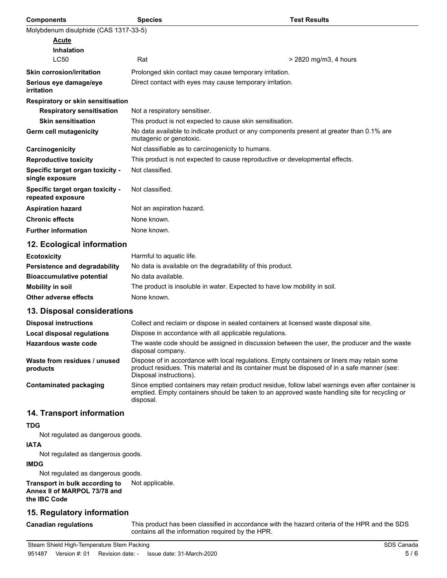| <b>Components</b>                                     | <b>Species</b>                                                                                                      | <b>Test Results</b>   |  |  |
|-------------------------------------------------------|---------------------------------------------------------------------------------------------------------------------|-----------------------|--|--|
| Molybdenum disulphide (CAS 1317-33-5)                 |                                                                                                                     |                       |  |  |
| <u>Acute</u>                                          |                                                                                                                     |                       |  |  |
| <b>Inhalation</b>                                     |                                                                                                                     |                       |  |  |
| <b>LC50</b>                                           | Rat                                                                                                                 | > 2820 mg/m3, 4 hours |  |  |
| <b>Skin corrosion/irritation</b>                      | Prolonged skin contact may cause temporary irritation.                                                              |                       |  |  |
| Serious eye damage/eye<br>irritation                  | Direct contact with eyes may cause temporary irritation.                                                            |                       |  |  |
| Respiratory or skin sensitisation                     |                                                                                                                     |                       |  |  |
| <b>Respiratory sensitisation</b>                      | Not a respiratory sensitiser.                                                                                       |                       |  |  |
| <b>Skin sensitisation</b>                             | This product is not expected to cause skin sensitisation.                                                           |                       |  |  |
| Germ cell mutagenicity                                | No data available to indicate product or any components present at greater than 0.1% are<br>mutagenic or genotoxic. |                       |  |  |
| Carcinogenicity                                       | Not classifiable as to carcinogenicity to humans.                                                                   |                       |  |  |
| <b>Reproductive toxicity</b>                          | This product is not expected to cause reproductive or developmental effects.                                        |                       |  |  |
| Specific target organ toxicity -<br>single exposure   | Not classified.                                                                                                     |                       |  |  |
| Specific target organ toxicity -<br>repeated exposure | Not classified.                                                                                                     |                       |  |  |
| <b>Aspiration hazard</b>                              | Not an aspiration hazard.                                                                                           |                       |  |  |
| <b>Chronic effects</b>                                | None known.                                                                                                         |                       |  |  |
| <b>Further information</b>                            | None known.                                                                                                         |                       |  |  |
| 12. Ecological information                            |                                                                                                                     |                       |  |  |
| <b>Ecotoxicity</b>                                    | Harmful to aquatic life.                                                                                            |                       |  |  |
| <b>Persistence and degradability</b>                  | No data is available on the degradability of this product.                                                          |                       |  |  |
| <b>Bioaccumulative potential</b>                      | No data available.                                                                                                  |                       |  |  |
| <b>Mobility in soil</b>                               | The product is insoluble in water. Expected to have low mobility in soil.                                           |                       |  |  |
| Other adverse effects                                 | None known.                                                                                                         |                       |  |  |
| 13. Disposal considerations                           |                                                                                                                     |                       |  |  |
| <b>Disposal instructions</b>                          | Collect and reclaim or dispose in sealed containers at licensed waste disposal site.                                |                       |  |  |
| <b>Local disposal regulations</b>                     | Dispose in accordance with all applicable regulations.                                                              |                       |  |  |
| <b>Hazardous waste code</b>                           | The waste code should be assigned in discussion between the user, the producer and the waste<br>disposal company.   |                       |  |  |

**products**

**Waste from residues / unused**

**Contaminated packaging**

### **14. Transport information**

### **TDG**

Not regulated as dangerous goods.

### **IATA**

Not regulated as dangerous goods.

#### **IMDG**

Not regulated as dangerous goods.

**Transport in bulk according to** Not applicable. **Annex II of MARPOL 73/78 and the IBC Code**

### **15. Regulatory information**

**Canadian regulations**

This product has been classified in accordance with the hazard criteria of the HPR and the SDS contains all the information required by the HPR.

Dispose of in accordance with local regulations. Empty containers or liners may retain some product residues. This material and its container must be disposed of in a safe manner (see:

Since emptied containers may retain product residue, follow label warnings even after container is emptied. Empty containers should be taken to an approved waste handling site for recycling or

Disposal instructions).

disposal.